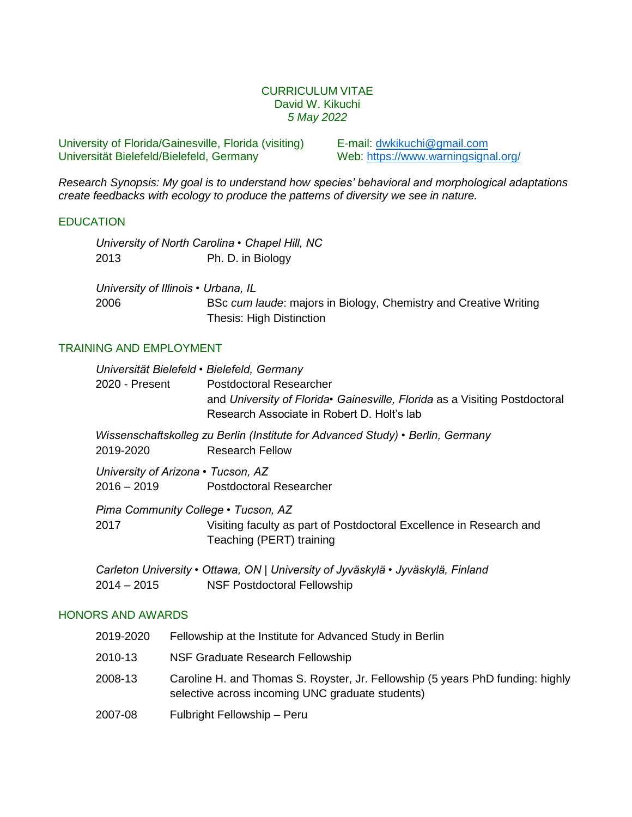### CURRICULUM VITAE David W. Kikuchi *5 May 2022*

University of Florida/Gainesville, Florida (visiting) E-mail: [dwkikuchi@gmail.com](mailto:dwkikuchi@gmail.com) Universität Bielefeld/Bielefeld, Germany Web: https://www.warningsignal.org/

*Research Synopsis: My goal is to understand how species' behavioral and morphological adaptations create feedbacks with ecology to produce the patterns of diversity we see in nature.*

### **EDUCATION**

|      | University of North Carolina • Chapel Hill, NC                   |
|------|------------------------------------------------------------------|
| 2013 | Ph. D. in Biology                                                |
|      | University of Illinois • Urbana, IL                              |
| 2006 | BSc cum laude: majors in Biology, Chemistry and Creative Writing |
|      | <b>Thesis: High Distinction</b>                                  |

### TRAINING AND EMPLOYMENT

| Universität Bielefeld • Bielefeld, Germany<br>2020 - Present | <b>Postdoctoral Researcher</b><br>and University of Florida Gainesville, Florida as a Visiting Postdoctoral<br>Research Associate in Robert D. Holt's lab |
|--------------------------------------------------------------|-----------------------------------------------------------------------------------------------------------------------------------------------------------|
| 2019-2020                                                    | Wissenschaftskolleg zu Berlin (Institute for Advanced Study) • Berlin, Germany<br><b>Research Fellow</b>                                                  |
| University of Arizona • Tucson, AZ<br>$2016 - 2019$          | <b>Postdoctoral Researcher</b>                                                                                                                            |
| Pima Community College • Tucson, AZ<br>2017                  | Visiting faculty as part of Postdoctoral Excellence in Research and<br>Teaching (PERT) training                                                           |
|                                                              |                                                                                                                                                           |

*Carleton University • Ottawa, ON* | *University of Jyväskylä • Jyväskylä, Finland* 2014 – 2015 NSF Postdoctoral Fellowship

# HONORS AND AWARDS

| 2019-2020 | Fellowship at the Institute for Advanced Study in Berlin                                                                           |
|-----------|------------------------------------------------------------------------------------------------------------------------------------|
| 2010-13   | NSF Graduate Research Fellowship                                                                                                   |
| 2008-13   | Caroline H. and Thomas S. Royster, Jr. Fellowship (5 years PhD funding: highly<br>selective across incoming UNC graduate students) |
| 2007-08   | Fulbright Fellowship - Peru                                                                                                        |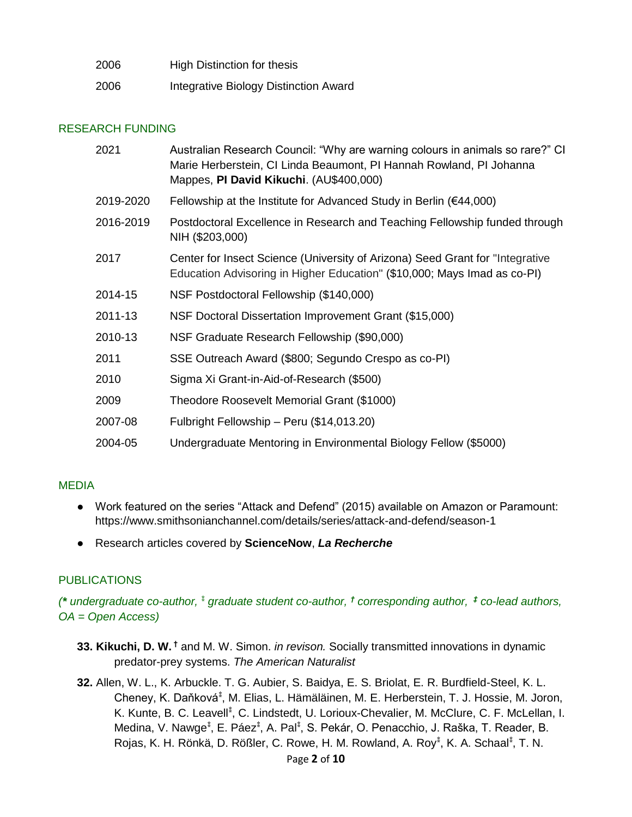| 2006 | High Distinction for thesis           |
|------|---------------------------------------|
| 2006 | Integrative Biology Distinction Award |

# RESEARCH FUNDING

| 2021      | Australian Research Council: "Why are warning colours in animals so rare?" CI<br>Marie Herberstein, CI Linda Beaumont, PI Hannah Rowland, PI Johanna<br>Mappes, PI David Kikuchi. (AU\$400,000) |
|-----------|-------------------------------------------------------------------------------------------------------------------------------------------------------------------------------------------------|
| 2019-2020 | Fellowship at the Institute for Advanced Study in Berlin ( $€44,000$ )                                                                                                                          |
| 2016-2019 | Postdoctoral Excellence in Research and Teaching Fellowship funded through<br>NIH (\$203,000)                                                                                                   |
| 2017      | Center for Insect Science (University of Arizona) Seed Grant for "Integrative<br>Education Advisoring in Higher Education" (\$10,000; Mays Imad as co-PI)                                       |
| 2014-15   | NSF Postdoctoral Fellowship (\$140,000)                                                                                                                                                         |
| 2011-13   | NSF Doctoral Dissertation Improvement Grant (\$15,000)                                                                                                                                          |
| 2010-13   | NSF Graduate Research Fellowship (\$90,000)                                                                                                                                                     |
| 2011      | SSE Outreach Award (\$800; Segundo Crespo as co-PI)                                                                                                                                             |
| 2010      | Sigma Xi Grant-in-Aid-of-Research (\$500)                                                                                                                                                       |
| 2009      | Theodore Roosevelt Memorial Grant (\$1000)                                                                                                                                                      |
| 2007-08   | Fulbright Fellowship - Peru (\$14,013.20)                                                                                                                                                       |
| 2004-05   | Undergraduate Mentoring in Environmental Biology Fellow (\$5000)                                                                                                                                |

### MEDIA

- Work featured on the series "Attack and Defend" (2015) available on Amazon or Paramount: https://www.smithsonianchannel.com/details/series/attack-and-defend/season-1
- Research articles covered by **ScienceNow**, *La Recherche*

# **PUBLICATIONS**

*(\* undergraduate co-author, ⁑ graduate student co-author, † corresponding author, ‡ co-lead authors, OA = Open Access)*

- **33. Kikuchi, D. W. †** and M. W. Simon. *in revison.* Socially transmitted innovations in dynamic predator-prey systems. *The American Naturalist*
- **32.** Allen, W. L., K. Arbuckle. T. G. Aubier, S. Baidya, E. S. Briolat, E. R. Burdfield-Steel, K. L. Cheney, K. Daňková*⁑* , M. Elias, L. Hämäläinen, M. E. Herberstein, T. J. Hossie, M. Joron, K. Kunte, B. C. Leavell<sup>\*</sup>, C. Lindstedt, U. Lorioux-Chevalier, M. McClure, C. F. McLellan, I. Medina, V. Nawge<sup> $*$ </sup>, E. Páez $*$ , A. Pal $*$ , S. Pekár, O. Penacchio, J. Raška, T. Reader, B. Rojas, K. H. Rönkä, D. Rößler, C. Rowe, H. M. Rowland, A. Roy*⁑* , K. A. Schaal*⁑* , T. N.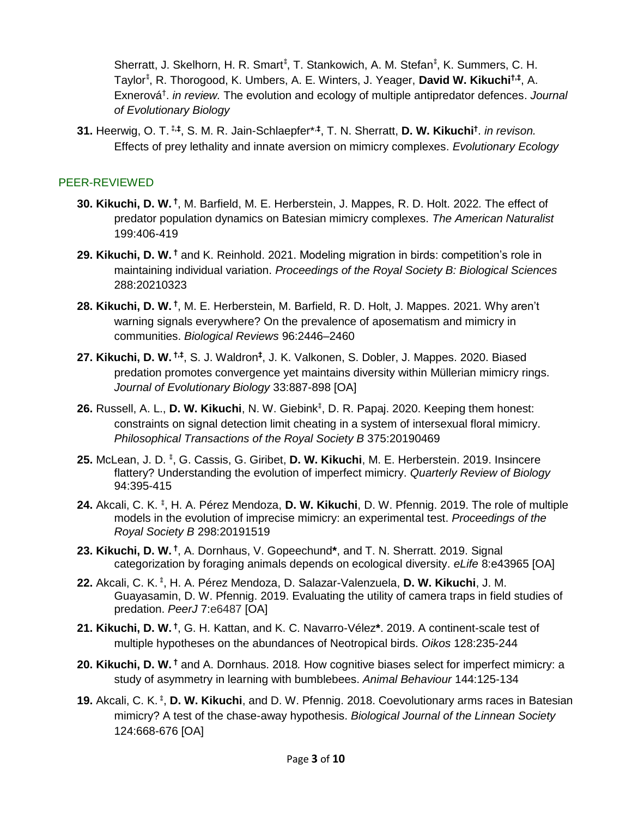Sherratt, J. Skelhorn, H. R. Smart*⁑* , T. Stankowich, A. M. Stefan*⁑* , K. Summers, C. H. Taylor*⁑* , R. Thorogood, K. Umbers, A. E. Winters, J. Yeager, **David W. Kikuchi†,‡** , A. Exnerová† . *in review.* The evolution and ecology of multiple antipredator defences. *Journal of Evolutionary Biology*

**31.** Heerwig, O. T. ⁑**,‡** , S. M. R. Jain-Schlaepfer\*,**‡** , T. N. Sherratt, **D. W. Kikuchi†** . *in revison.* Effects of prey lethality and innate aversion on mimicry complexes. *Evolutionary Ecology*

# PEER-REVIEWED

- **30. Kikuchi, D. W. †** , M. Barfield, M. E. Herberstein, J. Mappes, R. D. Holt. 2022*.* The effect of predator population dynamics on Batesian mimicry complexes. *The American Naturalist* 199:406-419
- **29. Kikuchi, D. W. †** and K. Reinhold. 2021. Modeling migration in birds: competition's role in maintaining individual variation. *Proceedings of the Royal Society B: Biological Sciences* 288:20210323
- **28. Kikuchi, D. W. †** , M. E. Herberstein, M. Barfield, R. D. Holt, J. Mappes. 2021*.* Why aren't warning signals everywhere? On the prevalence of aposematism and mimicry in communities. *Biological Reviews* 96:2446–2460
- **27. Kikuchi, D. W. †,‡** , S. J. Waldron**‡** , J. K. Valkonen, S. Dobler, J. Mappes. 2020. Biased predation promotes convergence yet maintains diversity within Müllerian mimicry rings. *Journal of Evolutionary Biology* 33:887-898 [OA]
- 26. Russell, A. L., D. W. Kikuchi, N. W. Giebink<sup>\*</sup>, D. R. Papaj. 2020. Keeping them honest: constraints on signal detection limit cheating in a system of intersexual floral mimicry. *Philosophical Transactions of the Royal Society B* 375:20190469
- **25.** McLean, J. D. **⁑** , G. Cassis, G. Giribet, **D. W. Kikuchi**, M. E. Herberstein. 2019. Insincere flattery? Understanding the evolution of imperfect mimicry. *Quarterly Review of Biology* 94:395-415
- 24. Akcali, C. K.<sup>\*</sup>, H. A. Pérez Mendoza, **D. W. Kikuchi**, D. W. Pfennig. 2019. The role of multiple models in the evolution of imprecise mimicry: an experimental test. *Proceedings of the Royal Society B* 298:20191519
- **23. Kikuchi, D. W. †** , A. Dornhaus, V. Gopeechund**\***, and T. N. Sherratt. 2019. Signal categorization by foraging animals depends on ecological diversity. *eLife* 8:e43965 [OA]
- **22.** Akcali, C. K. **⁑** , H. A. Pérez Mendoza, D. Salazar-Valenzuela, **D. W. Kikuchi**, J. M. Guayasamin, D. W. Pfennig. 2019. Evaluating the utility of camera traps in field studies of predation. *PeerJ* 7:e6487 [OA]
- **21. Kikuchi, D. W. †** , G. H. Kattan, and K. C. Navarro-Vélez**\***. 2019. A continent-scale test of multiple hypotheses on the abundances of Neotropical birds. *Oikos* 128:235-244
- **20. Kikuchi, D. W. †** and A. Dornhaus. 2018*.* How cognitive biases select for imperfect mimicry: a study of asymmetry in learning with bumblebees. *Animal Behaviour* 144:125-134
- **19.** Akcali, C. K. **⁑** , **D. W. Kikuchi**, and D. W. Pfennig. 2018. Coevolutionary arms races in Batesian mimicry? A test of the chase-away hypothesis. *Biological Journal of the Linnean Society* 124:668-676 [OA]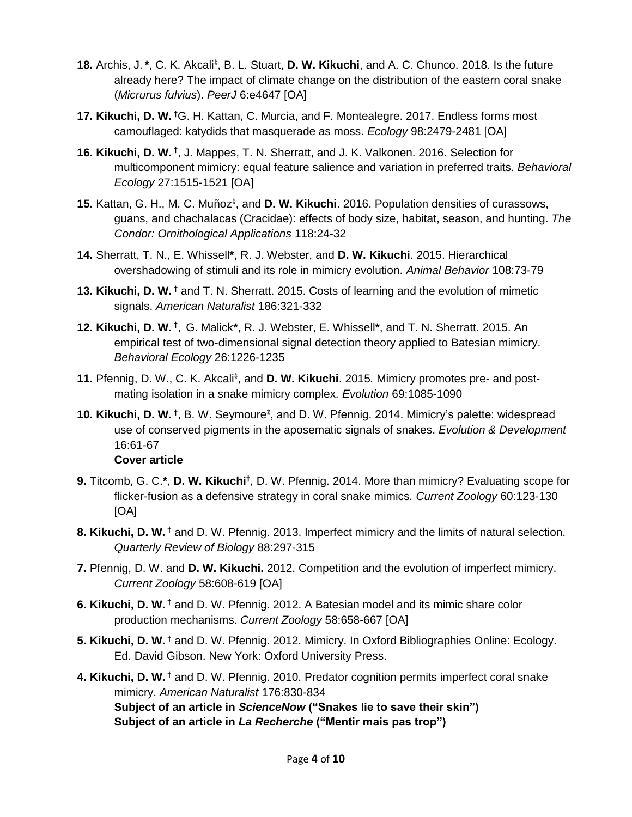- 18. Archis, J.<sup>\*</sup>, C. K. Akcali<sup>\*</sup>, B. L. Stuart, D. W. Kikuchi, and A. C. Chunco. 2018. Is the future already here? The impact of climate change on the distribution of the eastern coral snake (*Micrurus fulvius*). *PeerJ* 6:e4647 [OA]
- **17. Kikuchi, D. W. †**G. H. Kattan, C. Murcia, and F. Montealegre. 2017. Endless forms most camouflaged: katydids that masquerade as moss. *Ecology* 98:2479-2481 [OA]
- **16. Kikuchi, D. W. †** , J. Mappes, T. N. Sherratt, and J. K. Valkonen. 2016. Selection for multicomponent mimicry: equal feature salience and variation in preferred traits. *Behavioral Ecology* 27:1515-1521 [OA]
- 15. Kattan, G. H., M. C. Muñoz<sup>\*</sup>, and D. W. Kikuchi. 2016. Population densities of curassows, guans, and chachalacas (Cracidae): effects of body size, habitat, season, and hunting. *The Condor: Ornithological Applications* 118:24-32
- **14.** Sherratt, T. N., E. Whissell**\***, R. J. Webster, and **D. W. Kikuchi**. 2015. Hierarchical overshadowing of stimuli and its role in mimicry evolution. *Animal Behavior* 108:73-79
- **13. Kikuchi, D. W. †** and T. N. Sherratt. 2015. Costs of learning and the evolution of mimetic signals. *American Naturalist* 186:321-332
- **12. Kikuchi, D. W. †** , G. Malick**\***, R. J. Webster, E. Whissell**\***, and T. N. Sherratt. 2015. An empirical test of two-dimensional signal detection theory applied to Batesian mimicry. *Behavioral Ecology* 26:1226-1235
- 11. Pfennig, D. W., C. K. Akcali<sup>\*</sup>, and D. W. Kikuchi. 2015. Mimicry promotes pre- and postmating isolation in a snake mimicry complex. *Evolution* 69:1085-1090
- **10. Kikuchi, D. W.** <sup>†</sup>, B. W. Seymoure<sup>\*</sup>, and D. W. Pfennig. 2014. Mimicry's palette: widespread use of conserved pigments in the aposematic signals of snakes. *Evolution & Development* 16:61-67 **Cover article**
- **9.** Titcomb, G. C.**\***, **D. W. Kikuchi†** , D. W. Pfennig. 2014. More than mimicry? Evaluating scope for flicker-fusion as a defensive strategy in coral snake mimics. *Current Zoology* 60:123-130 [OA]
- **8. Kikuchi, D. W. †** and D. W. Pfennig. 2013. Imperfect mimicry and the limits of natural selection. *Quarterly Review of Biology* 88:297-315
- **7.** Pfennig, D. W. and **D. W. Kikuchi.** 2012. Competition and the evolution of imperfect mimicry. *Current Zoology* 58:608-619 [OA]
- **6. Kikuchi, D. W. †** and D. W. Pfennig. 2012. A Batesian model and its mimic share color production mechanisms. *Current Zoology* 58:658-667 [OA]
- **5. Kikuchi, D. W. †** and D. W. Pfennig. 2012. Mimicry. In Oxford Bibliographies Online: Ecology. Ed. David Gibson. New York: Oxford University Press.
- **4. Kikuchi, D. W. †** and D. W. Pfennig. 2010. Predator cognition permits imperfect coral snake mimicry. *American Naturalist* 176:830-834 **Subject of an article in** *ScienceNow* **("Snakes lie to save their skin") Subject of an article in** *La Recherche* **("Mentir mais pas trop")**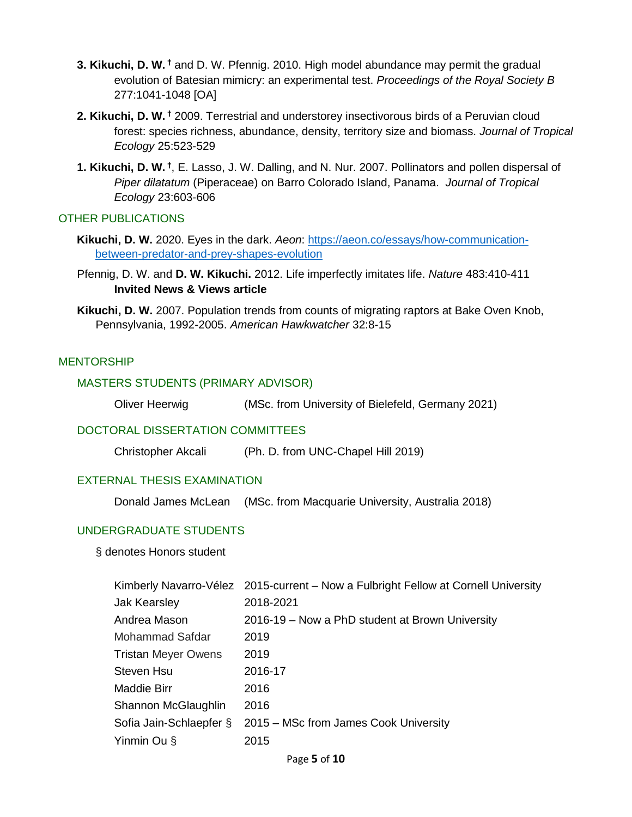- **3. Kikuchi, D. W. †** and D. W. Pfennig. 2010. High model abundance may permit the gradual evolution of Batesian mimicry: an experimental test. *Proceedings of the Royal Society B* 277:1041-1048 [OA]
- **2. Kikuchi, D. W. †** 2009. Terrestrial and understorey insectivorous birds of a Peruvian cloud forest: species richness, abundance, density, territory size and biomass. *Journal of Tropical Ecology* 25:523-529
- **1. Kikuchi, D. W. †** , E. Lasso, J. W. Dalling, and N. Nur. 2007. Pollinators and pollen dispersal of *Piper dilatatum* (Piperaceae) on Barro Colorado Island, Panama. *Journal of Tropical Ecology* 23:603-606

### OTHER PUBLICATIONS

- **Kikuchi, D. W.** 2020. Eyes in the dark. *Aeon*: [https://aeon.co/essays/how-communication](https://aeon.co/essays/how-communication-between-predator-and-prey-shapes-evolution)[between-predator-and-prey-shapes-evolution](https://aeon.co/essays/how-communication-between-predator-and-prey-shapes-evolution)
- Pfennig, D. W. and **D. W. Kikuchi.** 2012. Life imperfectly imitates life. *Nature* 483:410-411 **Invited News & Views article**
- **Kikuchi, D. W.** 2007. Population trends from counts of migrating raptors at Bake Oven Knob, Pennsylvania, 1992-2005. *American Hawkwatcher* 32:8-15

### **MENTORSHIP**

### MASTERS STUDENTS (PRIMARY ADVISOR)

Oliver Heerwig (MSc. from University of Bielefeld, Germany 2021)

#### DOCTORAL DISSERTATION COMMITTEES

| Christopher Akcali | (Ph. D. from UNC-Chapel Hill 2019) |
|--------------------|------------------------------------|
|--------------------|------------------------------------|

#### EXTERNAL THESIS EXAMINATION

Donald James McLean (MSc. from Macquarie University, Australia 2018)

### UNDERGRADUATE STUDENTS

#### § denotes Honors student

|                            | Kimberly Navarro-Vélez 2015-current – Now a Fulbright Fellow at Cornell University |
|----------------------------|------------------------------------------------------------------------------------|
| Jak Kearsley               | 2018-2021                                                                          |
| Andrea Mason               | 2016-19 – Now a PhD student at Brown University                                    |
| Mohammad Safdar            | 2019                                                                               |
| <b>Tristan Meyer Owens</b> | 2019                                                                               |
| <b>Steven Hsu</b>          | 2016-17                                                                            |
| Maddie Birr                | 2016                                                                               |
| Shannon McGlaughlin        | 2016                                                                               |
| Sofia Jain-Schlaepfer §    | 2015 – MSc from James Cook University                                              |
| Yinmin Ou $\S$             | 2015                                                                               |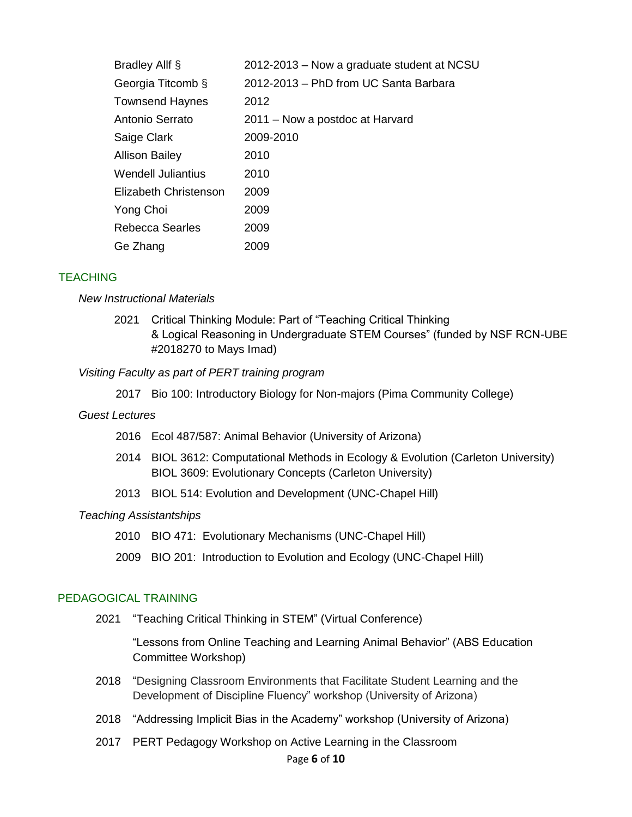| Bradley Allf §            | 2012-2013 – Now a graduate student at NCSU |
|---------------------------|--------------------------------------------|
| Georgia Titcomb §         | 2012-2013 – PhD from UC Santa Barbara      |
| <b>Townsend Haynes</b>    | 2012                                       |
| Antonio Serrato           | 2011 – Now a postdoc at Harvard            |
| Saige Clark               | 2009-2010                                  |
| <b>Allison Bailey</b>     | 2010                                       |
| <b>Wendell Juliantius</b> | 2010                                       |
| Elizabeth Christenson     | 2009                                       |
| Yong Choi                 | 2009                                       |
| Rebecca Searles           | 2009                                       |
| Ge Zhang                  | 2009                                       |

### **TEACHING**

#### *New Instructional Materials*

2021 Critical Thinking Module: Part of "Teaching Critical Thinking & Logical Reasoning in Undergraduate STEM Courses" (funded by NSF RCN-UBE #2018270 to Mays Imad)

#### *Visiting Faculty as part of PERT training program*

2017 Bio 100: Introductory Biology for Non-majors (Pima Community College)

#### *Guest Lectures*

- 2016 Ecol 487/587: Animal Behavior (University of Arizona)
- 2014 BIOL 3612: Computational Methods in Ecology & Evolution (Carleton University) BIOL 3609: Evolutionary Concepts (Carleton University)
- 2013 BIOL 514: Evolution and Development (UNC-Chapel Hill)

#### *Teaching Assistantships*

- 2010 BIO 471: Evolutionary Mechanisms (UNC-Chapel Hill)
- 2009 BIO 201: Introduction to Evolution and Ecology (UNC-Chapel Hill)

### PEDAGOGICAL TRAINING

2021 "Teaching Critical Thinking in STEM" (Virtual Conference)

"Lessons from Online Teaching and Learning Animal Behavior" (ABS Education Committee Workshop)

- 2018 "Designing Classroom Environments that Facilitate Student Learning and the Development of Discipline Fluency" workshop (University of Arizona)
- 2018 "Addressing Implicit Bias in the Academy" workshop (University of Arizona)
- 2017 PERT Pedagogy Workshop on Active Learning in the Classroom

#### Page **6** of **10**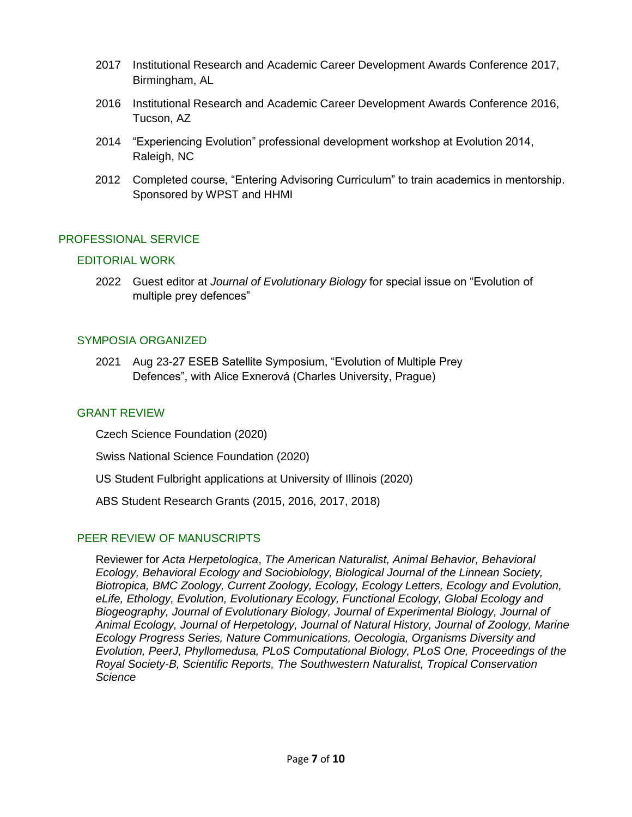- 2017 Institutional Research and Academic Career Development Awards Conference 2017, Birmingham, AL
- 2016 Institutional Research and Academic Career Development Awards Conference 2016, Tucson, AZ
- 2014 "Experiencing Evolution" professional development workshop at Evolution 2014, Raleigh, NC
- 2012 Completed course, "Entering Advisoring Curriculum" to train academics in mentorship. Sponsored by WPST and HHMI

# PROFESSIONAL SERVICE

### EDITORIAL WORK

2022 Guest editor at *Journal of Evolutionary Biology* for special issue on "Evolution of multiple prey defences"

### SYMPOSIA ORGANIZED

2021 Aug 23-27 ESEB Satellite Symposium, "Evolution of Multiple Prey Defences", with Alice Exnerová (Charles University, Prague)

### GRANT REVIEW

Czech Science Foundation (2020)

Swiss National Science Foundation (2020)

US Student Fulbright applications at University of Illinois (2020)

ABS Student Research Grants (2015, 2016, 2017, 2018)

### PEER REVIEW OF MANUSCRIPTS

Reviewer for *Acta Herpetologica*, *The American Naturalist, Animal Behavior, Behavioral Ecology, Behavioral Ecology and Sociobiology, Biological Journal of the Linnean Society, Biotropica, BMC Zoology, Current Zoology, Ecology, Ecology Letters, Ecology and Evolution, eLife, Ethology, Evolution, Evolutionary Ecology, Functional Ecology, Global Ecology and Biogeography, Journal of Evolutionary Biology, Journal of Experimental Biology, Journal of Animal Ecology, Journal of Herpetology, Journal of Natural History, Journal of Zoology, Marine Ecology Progress Series, Nature Communications, Oecologia, Organisms Diversity and Evolution, PeerJ, Phyllomedusa, PLoS Computational Biology, PLoS One, Proceedings of the Royal Society-B, Scientific Reports, The Southwestern Naturalist, Tropical Conservation Science*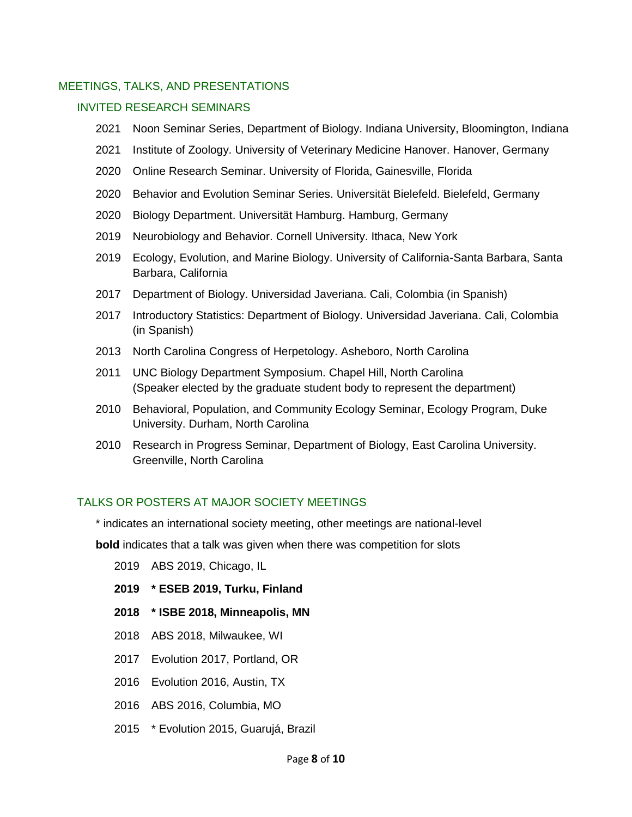### MEETINGS, TALKS, AND PRESENTATIONS

## INVITED RESEARCH SEMINARS

- 2021 Noon Seminar Series, Department of Biology. Indiana University, Bloomington, Indiana
- 2021 Institute of Zoology. University of Veterinary Medicine Hanover. Hanover, Germany
- 2020 Online Research Seminar. University of Florida, Gainesville, Florida
- 2020 Behavior and Evolution Seminar Series. Universität Bielefeld. Bielefeld, Germany
- 2020 Biology Department. Universität Hamburg. Hamburg, Germany
- 2019 Neurobiology and Behavior. Cornell University. Ithaca, New York
- 2019 Ecology, Evolution, and Marine Biology. University of California-Santa Barbara, Santa Barbara, California
- 2017 Department of Biology. Universidad Javeriana. Cali, Colombia (in Spanish)
- 2017 Introductory Statistics: Department of Biology. Universidad Javeriana. Cali, Colombia (in Spanish)
- 2013 North Carolina Congress of Herpetology. Asheboro, North Carolina
- 2011 UNC Biology Department Symposium. Chapel Hill, North Carolina (Speaker elected by the graduate student body to represent the department)
- 2010 Behavioral, Population, and Community Ecology Seminar, Ecology Program, Duke University. Durham, North Carolina
- 2010 Research in Progress Seminar, Department of Biology, East Carolina University. Greenville, North Carolina

# TALKS OR POSTERS AT MAJOR SOCIETY MEETINGS

\* indicates an international society meeting, other meetings are national-level

**bold** indicates that a talk was given when there was competition for slots

- 2019 ABS 2019, Chicago, IL
- **2019 \* ESEB 2019, Turku, Finland**
- **2018 \* ISBE 2018, Minneapolis, MN**
- 2018 ABS 2018, Milwaukee, WI
- 2017 Evolution 2017, Portland, OR
- 2016 Evolution 2016, Austin, TX
- 2016 ABS 2016, Columbia, MO
- 2015 \* Evolution 2015, Guarujá, Brazil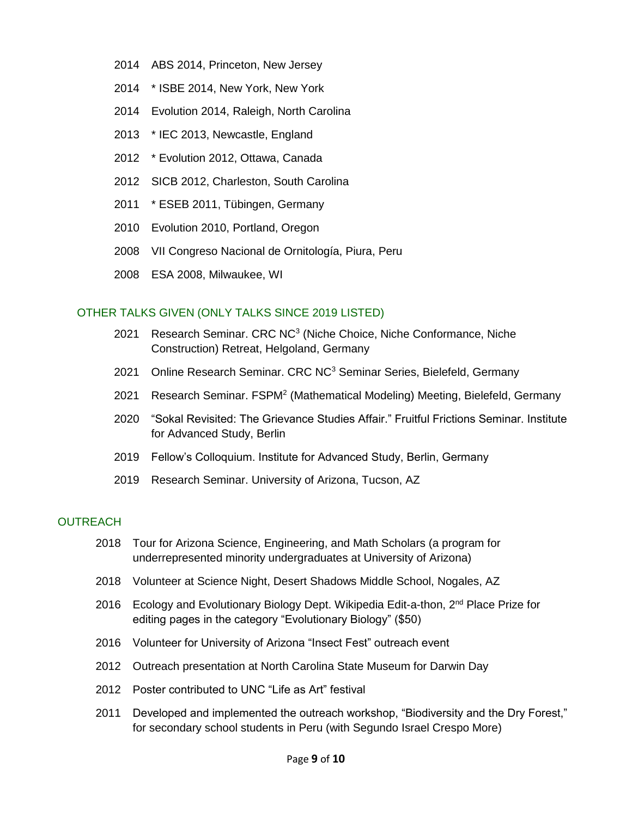- 2014 ABS 2014, Princeton, New Jersey
- 2014 \* ISBE 2014, New York, New York
- 2014 Evolution 2014, Raleigh, North Carolina
- 2013 \* IEC 2013, Newcastle, England
- 2012 \* Evolution 2012, Ottawa, Canada
- 2012 SICB 2012, Charleston, South Carolina
- 2011 \* ESEB 2011, Tübingen, Germany
- 2010 Evolution 2010, Portland, Oregon
- 2008 VII Congreso Nacional de Ornitología, Piura, Peru
- 2008 ESA 2008, Milwaukee, WI

### OTHER TALKS GIVEN (ONLY TALKS SINCE 2019 LISTED)

- 2021 Research Seminar. CRC NC<sup>3</sup> (Niche Choice, Niche Conformance, Niche Construction) Retreat, Helgoland, Germany
- 2021 Online Research Seminar. CRC NC<sup>3</sup> Seminar Series, Bielefeld, Germany
- 2021 Research Seminar. FSPM<sup>2</sup> (Mathematical Modeling) Meeting, Bielefeld, Germany
- 2020 "Sokal Revisited: The Grievance Studies Affair." Fruitful Frictions Seminar. Institute for Advanced Study, Berlin
- 2019 Fellow's Colloquium. Institute for Advanced Study, Berlin, Germany
- 2019 Research Seminar. University of Arizona, Tucson, AZ

# **OUTREACH**

- 2018 Tour for Arizona Science, Engineering, and Math Scholars (a program for underrepresented minority undergraduates at University of Arizona)
- 2018 Volunteer at Science Night, Desert Shadows Middle School, Nogales, AZ
- 2016 Ecology and Evolutionary Biology Dept. Wikipedia Edit-a-thon,  $2<sup>nd</sup>$  Place Prize for editing pages in the category "Evolutionary Biology" (\$50)
- 2016 Volunteer for University of Arizona "Insect Fest" outreach event
- 2012 Outreach presentation at North Carolina State Museum for Darwin Day
- 2012 Poster contributed to UNC "Life as Art" festival
- 2011 Developed and implemented the outreach workshop, "Biodiversity and the Dry Forest," for secondary school students in Peru (with Segundo Israel Crespo More)